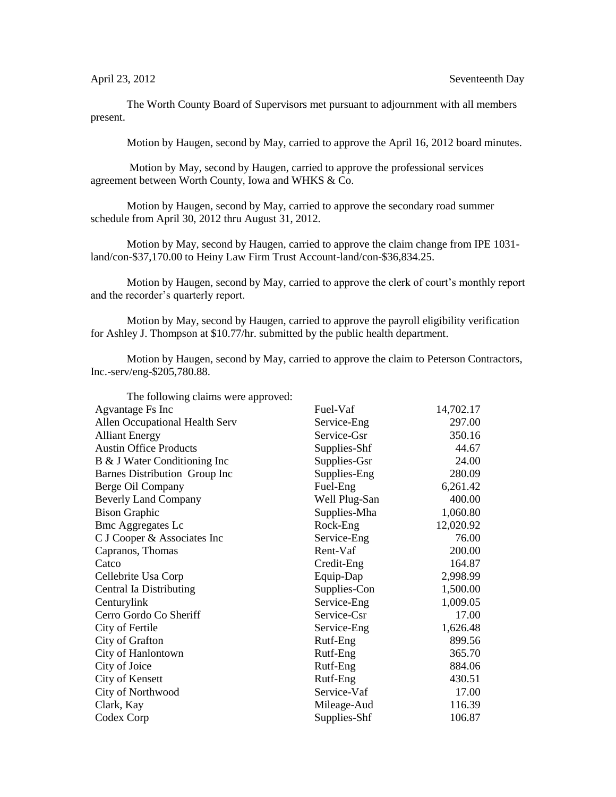The Worth County Board of Supervisors met pursuant to adjournment with all members present.

Motion by Haugen, second by May, carried to approve the April 16, 2012 board minutes.

Motion by May, second by Haugen, carried to approve the professional services agreement between Worth County, Iowa and WHKS & Co.

Motion by Haugen, second by May, carried to approve the secondary road summer schedule from April 30, 2012 thru August 31, 2012.

Motion by May, second by Haugen, carried to approve the claim change from IPE 1031 land/con-\$37,170.00 to Heiny Law Firm Trust Account-land/con-\$36,834.25.

Motion by Haugen, second by May, carried to approve the clerk of court's monthly report and the recorder's quarterly report.

Motion by May, second by Haugen, carried to approve the payroll eligibility verification for Ashley J. Thompson at \$10.77/hr. submitted by the public health department.

Motion by Haugen, second by May, carried to approve the claim to Peterson Contractors, Inc.-serv/eng-\$205,780.88.

| The following claims were approved: |               |           |
|-------------------------------------|---------------|-----------|
| Agvantage Fs Inc                    | Fuel-Vaf      | 14,702.17 |
| Allen Occupational Health Serv      | Service-Eng   | 297.00    |
| <b>Alliant Energy</b>               | Service-Gsr   | 350.16    |
| <b>Austin Office Products</b>       | Supplies-Shf  | 44.67     |
| B & J Water Conditioning Inc        | Supplies-Gsr  | 24.00     |
| Barnes Distribution Group Inc       | Supplies-Eng  | 280.09    |
| Berge Oil Company                   | Fuel-Eng      | 6,261.42  |
| <b>Beverly Land Company</b>         | Well Plug-San | 400.00    |
| <b>Bison Graphic</b>                | Supplies-Mha  | 1,060.80  |
| <b>Bmc Aggregates Lc</b>            | Rock-Eng      | 12,020.92 |
| C J Cooper & Associates Inc         | Service-Eng   | 76.00     |
| Capranos, Thomas                    | Rent-Vaf      | 200.00    |
| Catco                               | Credit-Eng    | 164.87    |
| Cellebrite Usa Corp                 | Equip-Dap     | 2,998.99  |
| Central Ia Distributing             | Supplies-Con  | 1,500.00  |
| Centurylink                         | Service-Eng   | 1,009.05  |
| Cerro Gordo Co Sheriff              | Service-Csr   | 17.00     |
| City of Fertile                     | Service-Eng   | 1,626.48  |
| City of Grafton                     | Rutf-Eng      | 899.56    |
| City of Hanlontown                  | Rutf-Eng      | 365.70    |
| City of Joice                       | Rutf-Eng      | 884.06    |
| City of Kensett                     | Rutf-Eng      | 430.51    |
| City of Northwood                   | Service-Vaf   | 17.00     |
| Clark, Kay                          | Mileage-Aud   | 116.39    |
| Codex Corp                          | Supplies-Shf  | 106.87    |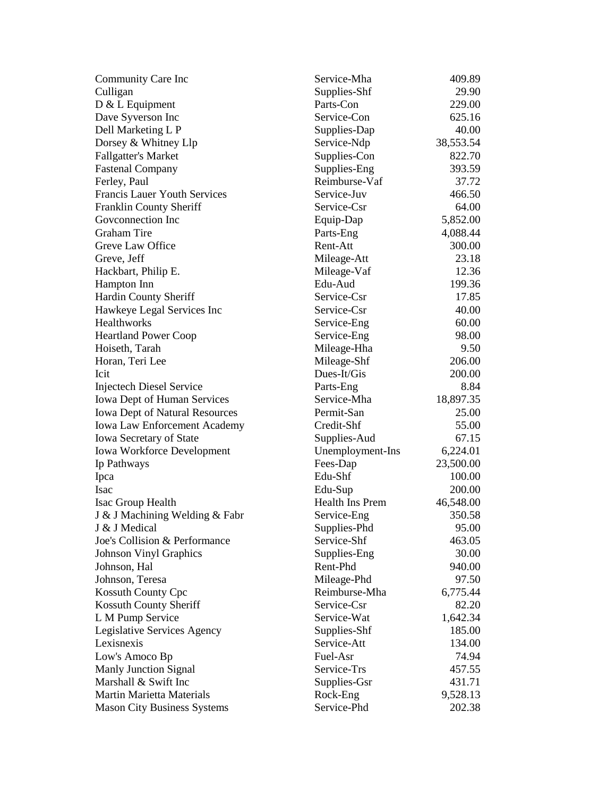| Community Care Inc                    | Service-Mha            | 409.89    |
|---------------------------------------|------------------------|-----------|
| Culligan                              | Supplies-Shf           | 29.90     |
| $D & L$ Equipment                     | Parts-Con              | 229.00    |
| Dave Syverson Inc                     | Service-Con            | 625.16    |
| Dell Marketing L P                    | Supplies-Dap           | 40.00     |
| Dorsey & Whitney Llp                  | Service-Ndp            | 38,553.54 |
| <b>Fallgatter's Market</b>            | Supplies-Con           | 822.70    |
| <b>Fastenal Company</b>               | Supplies-Eng           | 393.59    |
| Ferley, Paul                          | Reimburse-Vaf          | 37.72     |
| <b>Francis Lauer Youth Services</b>   | Service-Juv            | 466.50    |
| Franklin County Sheriff               | Service-Csr            | 64.00     |
| Goveonnection Inc                     | Equip-Dap              | 5,852.00  |
| <b>Graham Tire</b>                    | Parts-Eng              | 4,088.44  |
| Greve Law Office                      | Rent-Att               | 300.00    |
| Greve, Jeff                           | Mileage-Att            | 23.18     |
| Hackbart, Philip E.                   | Mileage-Vaf            | 12.36     |
| Hampton Inn                           | Edu-Aud                | 199.36    |
| Hardin County Sheriff                 | Service-Csr            | 17.85     |
| Hawkeye Legal Services Inc            | Service-Csr            | 40.00     |
| Healthworks                           | Service-Eng            | 60.00     |
| <b>Heartland Power Coop</b>           | Service-Eng            | 98.00     |
| Hoiseth, Tarah                        | Mileage-Hha            | 9.50      |
| Horan, Teri Lee                       | Mileage-Shf            | 206.00    |
| Icit                                  | Dues-It/Gis            | 200.00    |
| <b>Injectech Diesel Service</b>       | Parts-Eng              | 8.84      |
| Iowa Dept of Human Services           | Service-Mha            | 18,897.35 |
| <b>Iowa Dept of Natural Resources</b> | Permit-San             | 25.00     |
| <b>Iowa Law Enforcement Academy</b>   | Credit-Shf             | 55.00     |
| Iowa Secretary of State               | Supplies-Aud           | 67.15     |
| <b>Iowa Workforce Development</b>     | Unemployment-Ins       | 6,224.01  |
| Ip Pathways                           | Fees-Dap               | 23,500.00 |
| Ipca                                  | Edu-Shf                | 100.00    |
| Isac                                  | Edu-Sup                | 200.00    |
| Isac Group Health                     | <b>Health Ins Prem</b> | 46,548.00 |
| J & J Machining Welding & Fabr        | Service-Eng            | 350.58    |
| J & J Medical                         | Supplies-Phd           | 95.00     |
| Joe's Collision & Performance         | Service-Shf            | 463.05    |
| <b>Johnson Vinyl Graphics</b>         | Supplies-Eng           | 30.00     |
| Johnson, Hal                          | Rent-Phd               | 940.00    |
| Johnson, Teresa                       | Mileage-Phd            | 97.50     |
| <b>Kossuth County Cpc</b>             | Reimburse-Mha          | 6,775.44  |
| Kossuth County Sheriff                | Service-Csr            | 82.20     |
| L M Pump Service                      | Service-Wat            | 1,642.34  |
| Legislative Services Agency           | Supplies-Shf           | 185.00    |
| Lexisnexis                            | Service-Att            | 134.00    |
| Low's Amoco Bp                        | Fuel-Asr               | 74.94     |
| Manly Junction Signal                 | Service-Trs            | 457.55    |
| Marshall & Swift Inc                  | Supplies-Gsr           | 431.71    |
| <b>Martin Marietta Materials</b>      | Rock-Eng               | 9,528.13  |
| <b>Mason City Business Systems</b>    | Service-Phd            | 202.38    |
|                                       |                        |           |